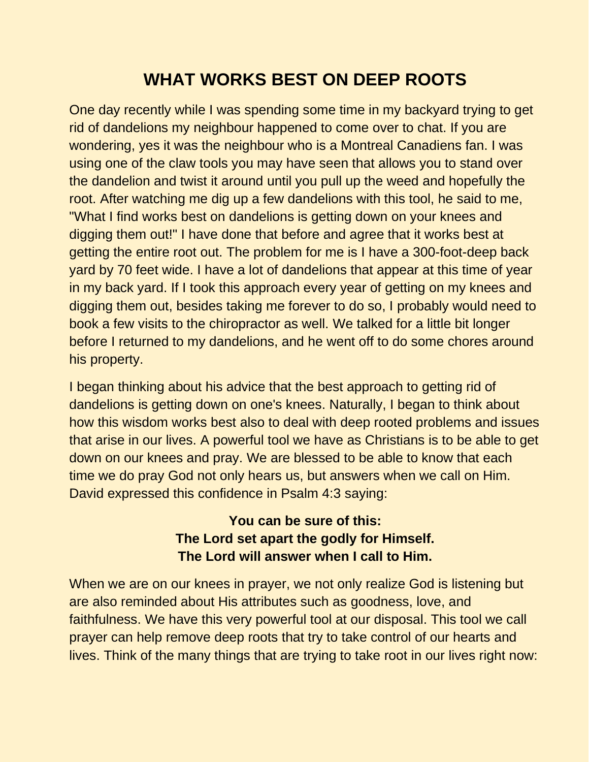## **WHAT WORKS BEST ON DEEP ROOTS**

One day recently while I was spending some time in my backyard trying to get rid of dandelions my neighbour happened to come over to chat. If you are wondering, yes it was the neighbour who is a Montreal Canadiens fan. I was using one of the claw tools you may have seen that allows you to stand over the dandelion and twist it around until you pull up the weed and hopefully the root. After watching me dig up a few dandelions with this tool, he said to me, "What I find works best on dandelions is getting down on your knees and digging them out!" I have done that before and agree that it works best at getting the entire root out. The problem for me is I have a 300-foot-deep back yard by 70 feet wide. I have a lot of dandelions that appear at this time of year in my back yard. If I took this approach every year of getting on my knees and digging them out, besides taking me forever to do so, I probably would need to book a few visits to the chiropractor as well. We talked for a little bit longer before I returned to my dandelions, and he went off to do some chores around his property.

I began thinking about his advice that the best approach to getting rid of dandelions is getting down on one's knees. Naturally, I began to think about how this wisdom works best also to deal with deep rooted problems and issues that arise in our lives. A powerful tool we have as Christians is to be able to get down on our knees and pray. We are blessed to be able to know that each time we do pray God not only hears us, but answers when we call on Him. David expressed this confidence in Psalm 4:3 saying:

## **You can be sure of this: The Lord set apart the godly for Himself. The Lord will answer when I call to Him.**

When we are on our knees in prayer, we not only realize God is listening but are also reminded about His attributes such as goodness, love, and faithfulness. We have this very powerful tool at our disposal. This tool we call prayer can help remove deep roots that try to take control of our hearts and lives. Think of the many things that are trying to take root in our lives right now: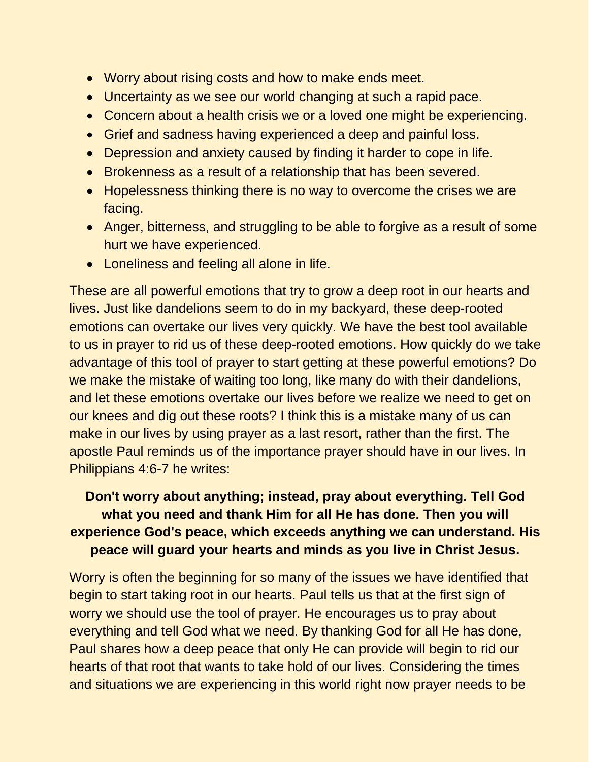- Worry about rising costs and how to make ends meet.
- Uncertainty as we see our world changing at such a rapid pace.
- Concern about a health crisis we or a loved one might be experiencing.
- Grief and sadness having experienced a deep and painful loss.
- Depression and anxiety caused by finding it harder to cope in life.
- Brokenness as a result of a relationship that has been severed.
- Hopelessness thinking there is no way to overcome the crises we are facing.
- Anger, bitterness, and struggling to be able to forgive as a result of some hurt we have experienced.
- Loneliness and feeling all alone in life.

These are all powerful emotions that try to grow a deep root in our hearts and lives. Just like dandelions seem to do in my backyard, these deep-rooted emotions can overtake our lives very quickly. We have the best tool available to us in prayer to rid us of these deep-rooted emotions. How quickly do we take advantage of this tool of prayer to start getting at these powerful emotions? Do we make the mistake of waiting too long, like many do with their dandelions, and let these emotions overtake our lives before we realize we need to get on our knees and dig out these roots? I think this is a mistake many of us can make in our lives by using prayer as a last resort, rather than the first. The apostle Paul reminds us of the importance prayer should have in our lives. In Philippians 4:6-7 he writes:

## **Don't worry about anything; instead, pray about everything. Tell God what you need and thank Him for all He has done. Then you will experience God's peace, which exceeds anything we can understand. His peace will guard your hearts and minds as you live in Christ Jesus.**

Worry is often the beginning for so many of the issues we have identified that begin to start taking root in our hearts. Paul tells us that at the first sign of worry we should use the tool of prayer. He encourages us to pray about everything and tell God what we need. By thanking God for all He has done, Paul shares how a deep peace that only He can provide will begin to rid our hearts of that root that wants to take hold of our lives. Considering the times and situations we are experiencing in this world right now prayer needs to be